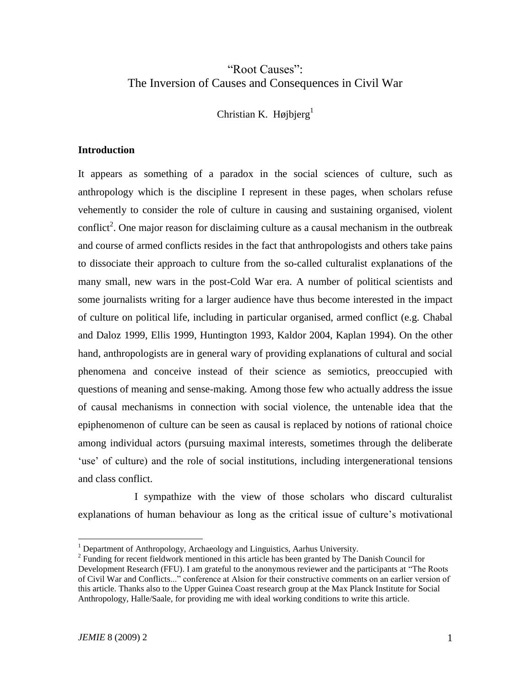# "Root Causes": The Inversion of Causes and Consequences in Civil War

Christian K. Højbjerg $<sup>1</sup>$ </sup>

# **Introduction**

It appears as something of a paradox in the social sciences of culture, such as anthropology which is the discipline I represent in these pages, when scholars refuse vehemently to consider the role of culture in causing and sustaining organised, violent conflict<sup>2</sup>. One major reason for disclaiming culture as a causal mechanism in the outbreak and course of armed conflicts resides in the fact that anthropologists and others take pains to dissociate their approach to culture from the so-called culturalist explanations of the many small, new wars in the post-Cold War era. A number of political scientists and some journalists writing for a larger audience have thus become interested in the impact of culture on political life, including in particular organised, armed conflict (e.g. Chabal and Daloz 1999, Ellis 1999, Huntington 1993, Kaldor 2004, Kaplan 1994). On the other hand, anthropologists are in general wary of providing explanations of cultural and social phenomena and conceive instead of their science as semiotics, preoccupied with questions of meaning and sense-making. Among those few who actually address the issue of causal mechanisms in connection with social violence, the untenable idea that the epiphenomenon of culture can be seen as causal is replaced by notions of rational choice among individual actors (pursuing maximal interests, sometimes through the deliberate 'use' of culture) and the role of social institutions, including intergenerational tensions and class conflict.

I sympathize with the view of those scholars who discard culturalist explanations of human behaviour as long as the critical issue of culture"s motivational

 $\overline{a}$ 

<sup>&</sup>lt;sup>1</sup> Department of Anthropology, Archaeology and Linguistics, Aarhus University.

 $2^2$  Funding for recent fieldwork mentioned in this article has been granted by The Danish Council for Development Research (FFU). I am grateful to the anonymous reviewer and the participants at "The Roots of Civil War and Conflicts..." conference at Alsion for their constructive comments on an earlier version of this article. Thanks also to the Upper Guinea Coast research group at the Max Planck Institute for Social Anthropology, Halle/Saale, for providing me with ideal working conditions to write this article.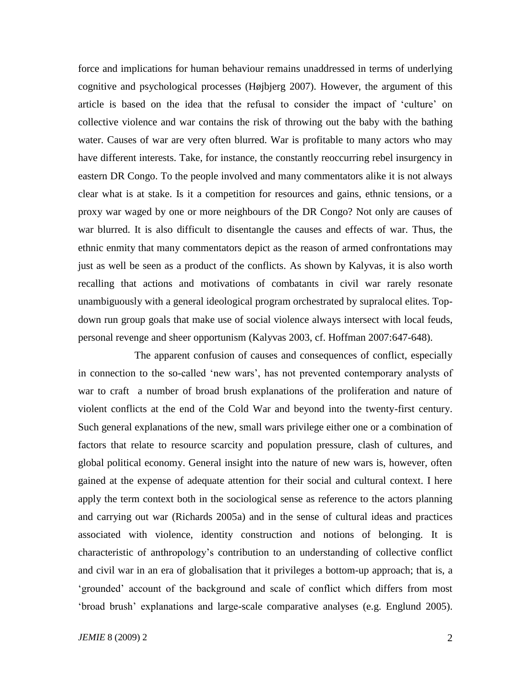force and implications for human behaviour remains unaddressed in terms of underlying cognitive and psychological processes (Højbjerg 2007). However, the argument of this article is based on the idea that the refusal to consider the impact of "culture" on collective violence and war contains the risk of throwing out the baby with the bathing water. Causes of war are very often blurred. War is profitable to many actors who may have different interests. Take, for instance, the constantly reoccurring rebel insurgency in eastern DR Congo. To the people involved and many commentators alike it is not always clear what is at stake. Is it a competition for resources and gains, ethnic tensions, or a proxy war waged by one or more neighbours of the DR Congo? Not only are causes of war blurred. It is also difficult to disentangle the causes and effects of war. Thus, the ethnic enmity that many commentators depict as the reason of armed confrontations may just as well be seen as a product of the conflicts. As shown by Kalyvas, it is also worth recalling that actions and motivations of combatants in civil war rarely resonate unambiguously with a general ideological program orchestrated by supralocal elites. Topdown run group goals that make use of social violence always intersect with local feuds, personal revenge and sheer opportunism (Kalyvas 2003, cf. Hoffman 2007:647-648).

The apparent confusion of causes and consequences of conflict, especially in connection to the so-called "new wars", has not prevented contemporary analysts of war to craft a number of broad brush explanations of the proliferation and nature of violent conflicts at the end of the Cold War and beyond into the twenty-first century. Such general explanations of the new, small wars privilege either one or a combination of factors that relate to resource scarcity and population pressure, clash of cultures, and global political economy. General insight into the nature of new wars is, however, often gained at the expense of adequate attention for their social and cultural context. I here apply the term context both in the sociological sense as reference to the actors planning and carrying out war (Richards 2005a) and in the sense of cultural ideas and practices associated with violence, identity construction and notions of belonging. It is characteristic of anthropology"s contribution to an understanding of collective conflict and civil war in an era of globalisation that it privileges a bottom-up approach; that is, a "grounded" account of the background and scale of conflict which differs from most "broad brush" explanations and large-scale comparative analyses (e.g. Englund 2005).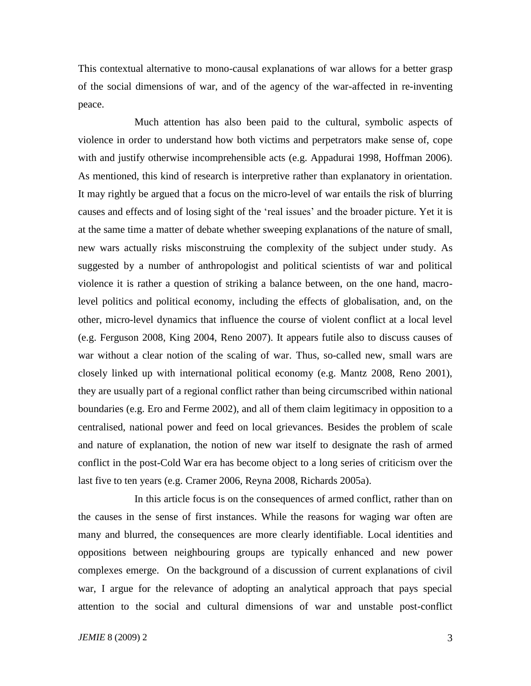This contextual alternative to mono-causal explanations of war allows for a better grasp of the social dimensions of war, and of the agency of the war-affected in re-inventing peace.

Much attention has also been paid to the cultural, symbolic aspects of violence in order to understand how both victims and perpetrators make sense of, cope with and justify otherwise incomprehensible acts (e.g. Appadurai 1998, Hoffman 2006). As mentioned, this kind of research is interpretive rather than explanatory in orientation. It may rightly be argued that a focus on the micro-level of war entails the risk of blurring causes and effects and of losing sight of the "real issues" and the broader picture. Yet it is at the same time a matter of debate whether sweeping explanations of the nature of small, new wars actually risks misconstruing the complexity of the subject under study. As suggested by a number of anthropologist and political scientists of war and political violence it is rather a question of striking a balance between, on the one hand, macrolevel politics and political economy, including the effects of globalisation, and, on the other, micro-level dynamics that influence the course of violent conflict at a local level (e.g. Ferguson 2008, King 2004, Reno 2007). It appears futile also to discuss causes of war without a clear notion of the scaling of war. Thus, so-called new, small wars are closely linked up with international political economy (e.g. Mantz 2008, Reno 2001), they are usually part of a regional conflict rather than being circumscribed within national boundaries (e.g. Ero and Ferme 2002), and all of them claim legitimacy in opposition to a centralised, national power and feed on local grievances. Besides the problem of scale and nature of explanation, the notion of new war itself to designate the rash of armed conflict in the post-Cold War era has become object to a long series of criticism over the last five to ten years (e.g. Cramer 2006, Reyna 2008, Richards 2005a).

In this article focus is on the consequences of armed conflict, rather than on the causes in the sense of first instances. While the reasons for waging war often are many and blurred, the consequences are more clearly identifiable. Local identities and oppositions between neighbouring groups are typically enhanced and new power complexes emerge. On the background of a discussion of current explanations of civil war, I argue for the relevance of adopting an analytical approach that pays special attention to the social and cultural dimensions of war and unstable post-conflict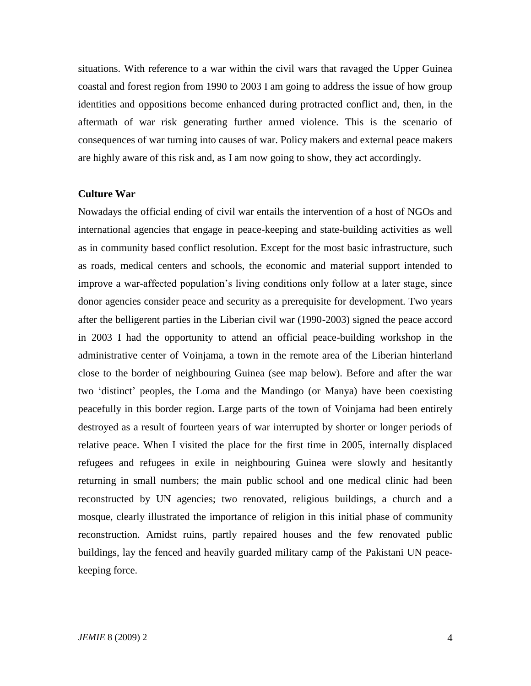situations. With reference to a war within the civil wars that ravaged the Upper Guinea coastal and forest region from 1990 to 2003 I am going to address the issue of how group identities and oppositions become enhanced during protracted conflict and, then, in the aftermath of war risk generating further armed violence. This is the scenario of consequences of war turning into causes of war. Policy makers and external peace makers are highly aware of this risk and, as I am now going to show, they act accordingly.

#### **Culture War**

Nowadays the official ending of civil war entails the intervention of a host of NGOs and international agencies that engage in peace-keeping and state-building activities as well as in community based conflict resolution. Except for the most basic infrastructure, such as roads, medical centers and schools, the economic and material support intended to improve a war-affected population"s living conditions only follow at a later stage, since donor agencies consider peace and security as a prerequisite for development. Two years after the belligerent parties in the Liberian civil war (1990-2003) signed the peace accord in 2003 I had the opportunity to attend an official peace-building workshop in the administrative center of Voinjama, a town in the remote area of the Liberian hinterland close to the border of neighbouring Guinea (see map below). Before and after the war two "distinct" peoples, the Loma and the Mandingo (or Manya) have been coexisting peacefully in this border region. Large parts of the town of Voinjama had been entirely destroyed as a result of fourteen years of war interrupted by shorter or longer periods of relative peace. When I visited the place for the first time in 2005, internally displaced refugees and refugees in exile in neighbouring Guinea were slowly and hesitantly returning in small numbers; the main public school and one medical clinic had been reconstructed by UN agencies; two renovated, religious buildings, a church and a mosque, clearly illustrated the importance of religion in this initial phase of community reconstruction. Amidst ruins, partly repaired houses and the few renovated public buildings, lay the fenced and heavily guarded military camp of the Pakistani UN peacekeeping force.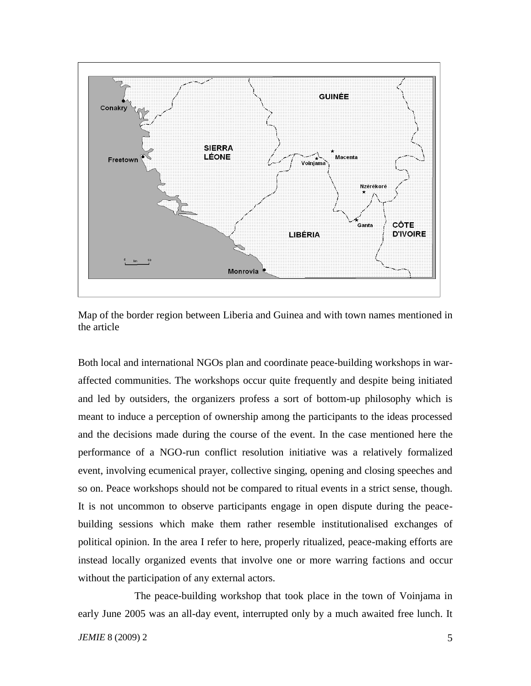

Map of the border region between Liberia and Guinea and with town names mentioned in the article

Both local and international NGOs plan and coordinate peace-building workshops in waraffected communities. The workshops occur quite frequently and despite being initiated and led by outsiders, the organizers profess a sort of bottom-up philosophy which is meant to induce a perception of ownership among the participants to the ideas processed and the decisions made during the course of the event. In the case mentioned here the performance of a NGO-run conflict resolution initiative was a relatively formalized event, involving ecumenical prayer, collective singing, opening and closing speeches and so on. Peace workshops should not be compared to ritual events in a strict sense, though. It is not uncommon to observe participants engage in open dispute during the peacebuilding sessions which make them rather resemble institutionalised exchanges of political opinion. In the area I refer to here, properly ritualized, peace-making efforts are instead locally organized events that involve one or more warring factions and occur without the participation of any external actors.

The peace-building workshop that took place in the town of Voinjama in early June 2005 was an all-day event, interrupted only by a much awaited free lunch. It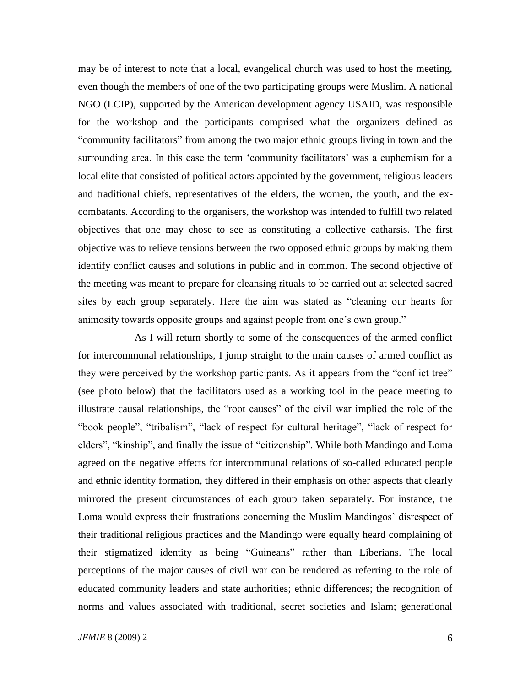may be of interest to note that a local, evangelical church was used to host the meeting, even though the members of one of the two participating groups were Muslim. A national NGO (LCIP), supported by the American development agency USAID, was responsible for the workshop and the participants comprised what the organizers defined as "community facilitators" from among the two major ethnic groups living in town and the surrounding area. In this case the term 'community facilitators' was a euphemism for a local elite that consisted of political actors appointed by the government, religious leaders and traditional chiefs, representatives of the elders, the women, the youth, and the excombatants. According to the organisers, the workshop was intended to fulfill two related objectives that one may chose to see as constituting a collective catharsis. The first objective was to relieve tensions between the two opposed ethnic groups by making them identify conflict causes and solutions in public and in common. The second objective of the meeting was meant to prepare for cleansing rituals to be carried out at selected sacred sites by each group separately. Here the aim was stated as "cleaning our hearts for animosity towards opposite groups and against people from one"s own group."

As I will return shortly to some of the consequences of the armed conflict for intercommunal relationships, I jump straight to the main causes of armed conflict as they were perceived by the workshop participants. As it appears from the "conflict tree" (see photo below) that the facilitators used as a working tool in the peace meeting to illustrate causal relationships, the "root causes" of the civil war implied the role of the "book people", "tribalism", "lack of respect for cultural heritage", "lack of respect for elders", "kinship", and finally the issue of "citizenship". While both Mandingo and Loma agreed on the negative effects for intercommunal relations of so-called educated people and ethnic identity formation, they differed in their emphasis on other aspects that clearly mirrored the present circumstances of each group taken separately. For instance, the Loma would express their frustrations concerning the Muslim Mandingos' disrespect of their traditional religious practices and the Mandingo were equally heard complaining of their stigmatized identity as being "Guineans" rather than Liberians. The local perceptions of the major causes of civil war can be rendered as referring to the role of educated community leaders and state authorities; ethnic differences; the recognition of norms and values associated with traditional, secret societies and Islam; generational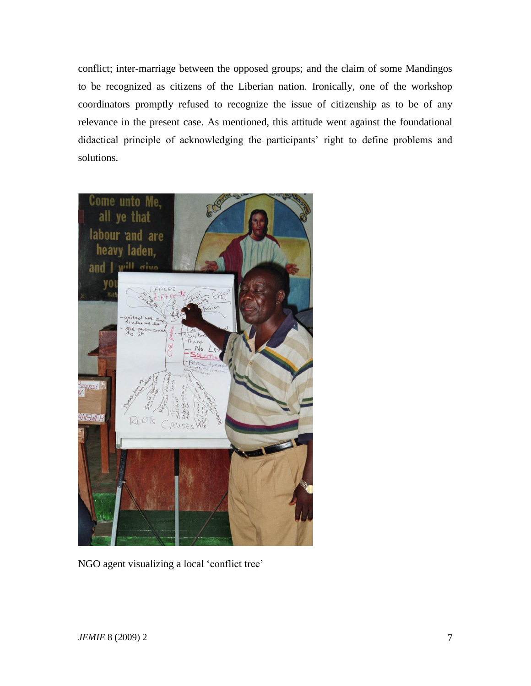conflict; inter-marriage between the opposed groups; and the claim of some Mandingos to be recognized as citizens of the Liberian nation. Ironically, one of the workshop coordinators promptly refused to recognize the issue of citizenship as to be of any relevance in the present case. As mentioned, this attitude went against the foundational didactical principle of acknowledging the participants' right to define problems and solutions.



NGO agent visualizing a local "conflict tree"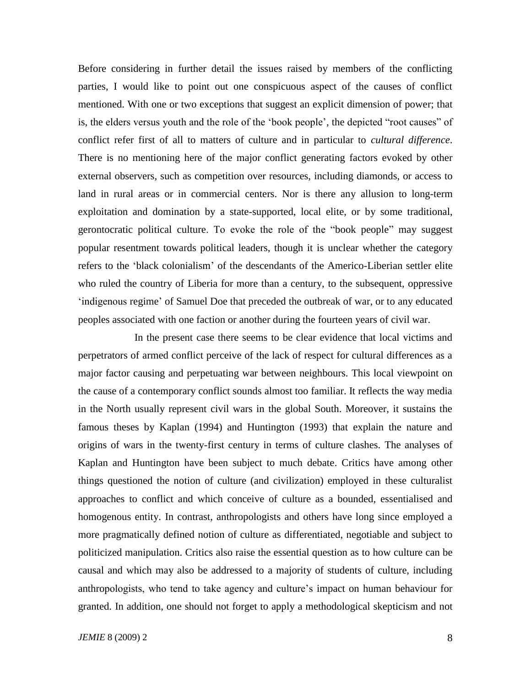Before considering in further detail the issues raised by members of the conflicting parties, I would like to point out one conspicuous aspect of the causes of conflict mentioned. With one or two exceptions that suggest an explicit dimension of power; that is, the elders versus youth and the role of the "book people", the depicted "root causes" of conflict refer first of all to matters of culture and in particular to *cultural difference*. There is no mentioning here of the major conflict generating factors evoked by other external observers, such as competition over resources, including diamonds, or access to land in rural areas or in commercial centers. Nor is there any allusion to long-term exploitation and domination by a state-supported, local elite, or by some traditional, gerontocratic political culture. To evoke the role of the "book people" may suggest popular resentment towards political leaders, though it is unclear whether the category refers to the "black colonialism" of the descendants of the Americo-Liberian settler elite who ruled the country of Liberia for more than a century, to the subsequent, oppressive 'indigenous regime' of Samuel Doe that preceded the outbreak of war, or to any educated peoples associated with one faction or another during the fourteen years of civil war.

In the present case there seems to be clear evidence that local victims and perpetrators of armed conflict perceive of the lack of respect for cultural differences as a major factor causing and perpetuating war between neighbours. This local viewpoint on the cause of a contemporary conflict sounds almost too familiar. It reflects the way media in the North usually represent civil wars in the global South. Moreover, it sustains the famous theses by Kaplan (1994) and Huntington (1993) that explain the nature and origins of wars in the twenty-first century in terms of culture clashes. The analyses of Kaplan and Huntington have been subject to much debate. Critics have among other things questioned the notion of culture (and civilization) employed in these culturalist approaches to conflict and which conceive of culture as a bounded, essentialised and homogenous entity. In contrast, anthropologists and others have long since employed a more pragmatically defined notion of culture as differentiated, negotiable and subject to politicized manipulation. Critics also raise the essential question as to how culture can be causal and which may also be addressed to a majority of students of culture, including anthropologists, who tend to take agency and culture"s impact on human behaviour for granted. In addition, one should not forget to apply a methodological skepticism and not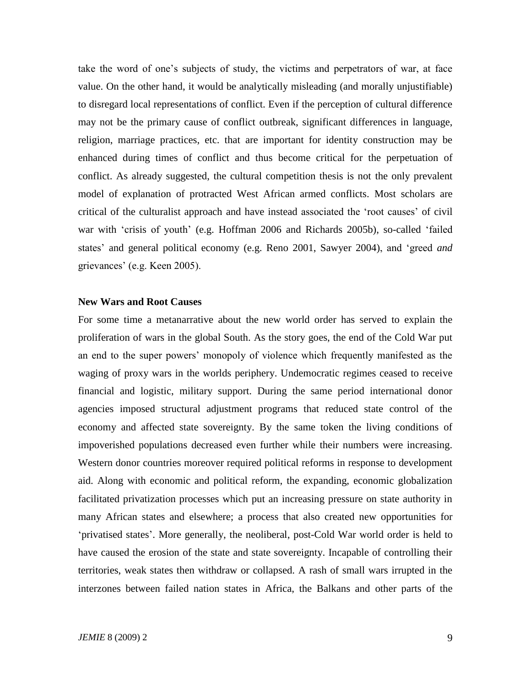take the word of one"s subjects of study, the victims and perpetrators of war, at face value. On the other hand, it would be analytically misleading (and morally unjustifiable) to disregard local representations of conflict. Even if the perception of cultural difference may not be the primary cause of conflict outbreak, significant differences in language, religion, marriage practices, etc. that are important for identity construction may be enhanced during times of conflict and thus become critical for the perpetuation of conflict. As already suggested, the cultural competition thesis is not the only prevalent model of explanation of protracted West African armed conflicts. Most scholars are critical of the culturalist approach and have instead associated the "root causes" of civil war with 'crisis of youth' (e.g. Hoffman 2006 and Richards 2005b), so-called 'failed states" and general political economy (e.g. Reno 2001, Sawyer 2004), and "greed *and* grievances" (e.g. Keen 2005).

### **New Wars and Root Causes**

For some time a metanarrative about the new world order has served to explain the proliferation of wars in the global South. As the story goes, the end of the Cold War put an end to the super powers" monopoly of violence which frequently manifested as the waging of proxy wars in the worlds periphery. Undemocratic regimes ceased to receive financial and logistic, military support. During the same period international donor agencies imposed structural adjustment programs that reduced state control of the economy and affected state sovereignty. By the same token the living conditions of impoverished populations decreased even further while their numbers were increasing. Western donor countries moreover required political reforms in response to development aid. Along with economic and political reform, the expanding, economic globalization facilitated privatization processes which put an increasing pressure on state authority in many African states and elsewhere; a process that also created new opportunities for "privatised states". More generally, the neoliberal, post-Cold War world order is held to have caused the erosion of the state and state sovereignty. Incapable of controlling their territories, weak states then withdraw or collapsed. A rash of small wars irrupted in the interzones between failed nation states in Africa, the Balkans and other parts of the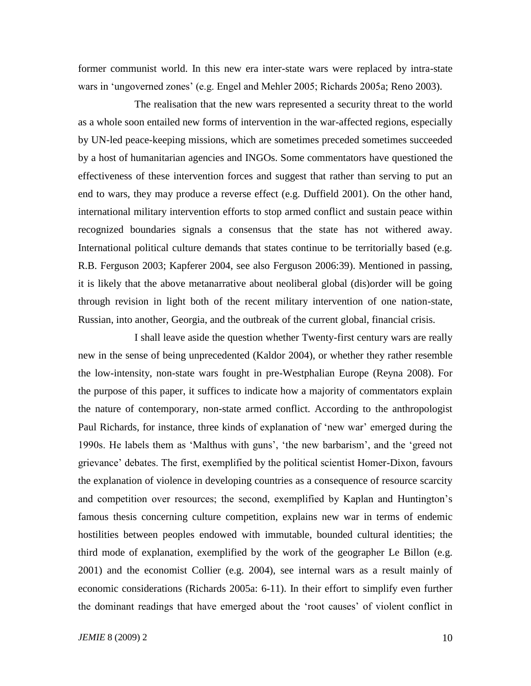former communist world. In this new era inter-state wars were replaced by intra-state wars in "ungoverned zones" (e.g. Engel and Mehler 2005; Richards 2005a; Reno 2003).

The realisation that the new wars represented a security threat to the world as a whole soon entailed new forms of intervention in the war-affected regions, especially by UN-led peace-keeping missions, which are sometimes preceded sometimes succeeded by a host of humanitarian agencies and INGOs. Some commentators have questioned the effectiveness of these intervention forces and suggest that rather than serving to put an end to wars, they may produce a reverse effect (e.g. Duffield 2001). On the other hand, international military intervention efforts to stop armed conflict and sustain peace within recognized boundaries signals a consensus that the state has not withered away. International political culture demands that states continue to be territorially based (e.g. R.B. Ferguson 2003; Kapferer 2004, see also Ferguson 2006:39). Mentioned in passing, it is likely that the above metanarrative about neoliberal global (dis)order will be going through revision in light both of the recent military intervention of one nation-state, Russian, into another, Georgia, and the outbreak of the current global, financial crisis.

I shall leave aside the question whether Twenty-first century wars are really new in the sense of being unprecedented (Kaldor 2004), or whether they rather resemble the low-intensity, non-state wars fought in pre-Westphalian Europe (Reyna 2008). For the purpose of this paper, it suffices to indicate how a majority of commentators explain the nature of contemporary, non-state armed conflict. According to the anthropologist Paul Richards, for instance, three kinds of explanation of "new war" emerged during the 1990s. He labels them as 'Malthus with guns', 'the new barbarism', and the 'greed not grievance" debates. The first, exemplified by the political scientist Homer-Dixon, favours the explanation of violence in developing countries as a consequence of resource scarcity and competition over resources; the second, exemplified by Kaplan and Huntington"s famous thesis concerning culture competition, explains new war in terms of endemic hostilities between peoples endowed with immutable, bounded cultural identities; the third mode of explanation, exemplified by the work of the geographer Le Billon (e.g. 2001) and the economist Collier (e.g. 2004), see internal wars as a result mainly of economic considerations (Richards 2005a: 6-11). In their effort to simplify even further the dominant readings that have emerged about the "root causes" of violent conflict in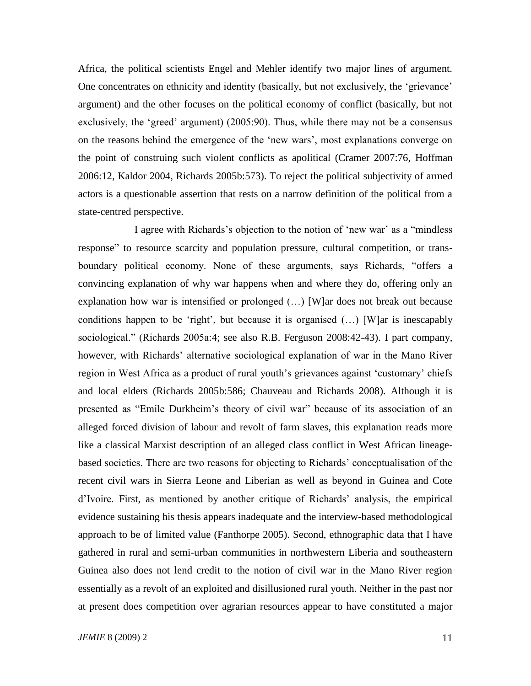Africa, the political scientists Engel and Mehler identify two major lines of argument. One concentrates on ethnicity and identity (basically, but not exclusively, the "grievance" argument) and the other focuses on the political economy of conflict (basically, but not exclusively, the 'greed' argument) (2005:90). Thus, while there may not be a consensus on the reasons behind the emergence of the "new wars", most explanations converge on the point of construing such violent conflicts as apolitical (Cramer 2007:76, Hoffman 2006:12, Kaldor 2004, Richards 2005b:573). To reject the political subjectivity of armed actors is a questionable assertion that rests on a narrow definition of the political from a state-centred perspective.

I agree with Richards's objection to the notion of 'new war' as a "mindless" response" to resource scarcity and population pressure, cultural competition, or transboundary political economy. None of these arguments, says Richards, "offers a convincing explanation of why war happens when and where they do, offering only an explanation how war is intensified or prolonged (…) [W]ar does not break out because conditions happen to be 'right', but because it is organised  $(...)$  [W]ar is inescapably sociological." (Richards 2005a:4; see also R.B. Ferguson 2008:42-43). I part company, however, with Richards" alternative sociological explanation of war in the Mano River region in West Africa as a product of rural youth's grievances against 'customary' chiefs and local elders (Richards 2005b:586; Chauveau and Richards 2008). Although it is presented as "Emile Durkheim"s theory of civil war" because of its association of an alleged forced division of labour and revolt of farm slaves, this explanation reads more like a classical Marxist description of an alleged class conflict in West African lineagebased societies. There are two reasons for objecting to Richards" conceptualisation of the recent civil wars in Sierra Leone and Liberian as well as beyond in Guinea and Cote d"Ivoire. First, as mentioned by another critique of Richards" analysis, the empirical evidence sustaining his thesis appears inadequate and the interview-based methodological approach to be of limited value (Fanthorpe 2005). Second, ethnographic data that I have gathered in rural and semi-urban communities in northwestern Liberia and southeastern Guinea also does not lend credit to the notion of civil war in the Mano River region essentially as a revolt of an exploited and disillusioned rural youth. Neither in the past nor at present does competition over agrarian resources appear to have constituted a major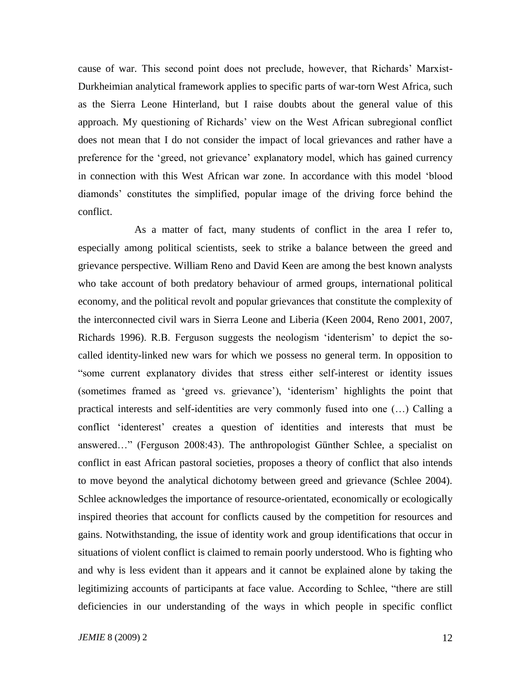cause of war. This second point does not preclude, however, that Richards" Marxist-Durkheimian analytical framework applies to specific parts of war-torn West Africa, such as the Sierra Leone Hinterland, but I raise doubts about the general value of this approach. My questioning of Richards" view on the West African subregional conflict does not mean that I do not consider the impact of local grievances and rather have a preference for the "greed, not grievance" explanatory model, which has gained currency in connection with this West African war zone. In accordance with this model "blood diamonds" constitutes the simplified, popular image of the driving force behind the conflict.

As a matter of fact, many students of conflict in the area I refer to, especially among political scientists, seek to strike a balance between the greed and grievance perspective. William Reno and David Keen are among the best known analysts who take account of both predatory behaviour of armed groups, international political economy, and the political revolt and popular grievances that constitute the complexity of the interconnected civil wars in Sierra Leone and Liberia (Keen 2004, Reno 2001, 2007, Richards 1996). R.B. Ferguson suggests the neologism "identerism" to depict the socalled identity-linked new wars for which we possess no general term. In opposition to "some current explanatory divides that stress either self-interest or identity issues (sometimes framed as "greed vs. grievance"), "identerism" highlights the point that practical interests and self-identities are very commonly fused into one (…) Calling a conflict "identerest" creates a question of identities and interests that must be answered…" (Ferguson 2008:43). The anthropologist Günther Schlee, a specialist on conflict in east African pastoral societies, proposes a theory of conflict that also intends to move beyond the analytical dichotomy between greed and grievance (Schlee 2004). Schlee acknowledges the importance of resource-orientated, economically or ecologically inspired theories that account for conflicts caused by the competition for resources and gains. Notwithstanding, the issue of identity work and group identifications that occur in situations of violent conflict is claimed to remain poorly understood. Who is fighting who and why is less evident than it appears and it cannot be explained alone by taking the legitimizing accounts of participants at face value. According to Schlee, "there are still deficiencies in our understanding of the ways in which people in specific conflict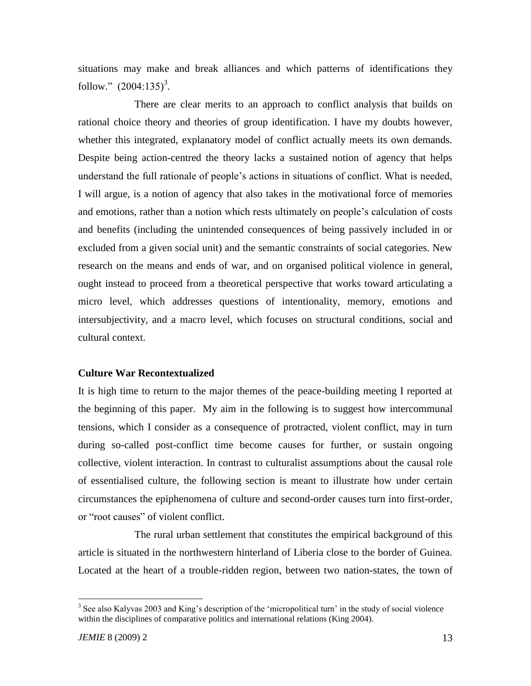situations may make and break alliances and which patterns of identifications they follow."  $(2004:135)^3$ .

There are clear merits to an approach to conflict analysis that builds on rational choice theory and theories of group identification. I have my doubts however, whether this integrated, explanatory model of conflict actually meets its own demands. Despite being action-centred the theory lacks a sustained notion of agency that helps understand the full rationale of people"s actions in situations of conflict. What is needed, I will argue, is a notion of agency that also takes in the motivational force of memories and emotions, rather than a notion which rests ultimately on people"s calculation of costs and benefits (including the unintended consequences of being passively included in or excluded from a given social unit) and the semantic constraints of social categories. New research on the means and ends of war, and on organised political violence in general, ought instead to proceed from a theoretical perspective that works toward articulating a micro level, which addresses questions of intentionality, memory, emotions and intersubjectivity, and a macro level, which focuses on structural conditions, social and cultural context.

## **Culture War Recontextualized**

It is high time to return to the major themes of the peace-building meeting I reported at the beginning of this paper. My aim in the following is to suggest how intercommunal tensions, which I consider as a consequence of protracted, violent conflict, may in turn during so-called post-conflict time become causes for further, or sustain ongoing collective, violent interaction. In contrast to culturalist assumptions about the causal role of essentialised culture, the following section is meant to illustrate how under certain circumstances the epiphenomena of culture and second-order causes turn into first-order, or "root causes" of violent conflict.

The rural urban settlement that constitutes the empirical background of this article is situated in the northwestern hinterland of Liberia close to the border of Guinea. Located at the heart of a trouble-ridden region, between two nation-states, the town of

 $\overline{a}$ 

 $3$  See also Kalyvas 2003 and King's description of the 'micropolitical turn' in the study of social violence within the disciplines of comparative politics and international relations (King 2004).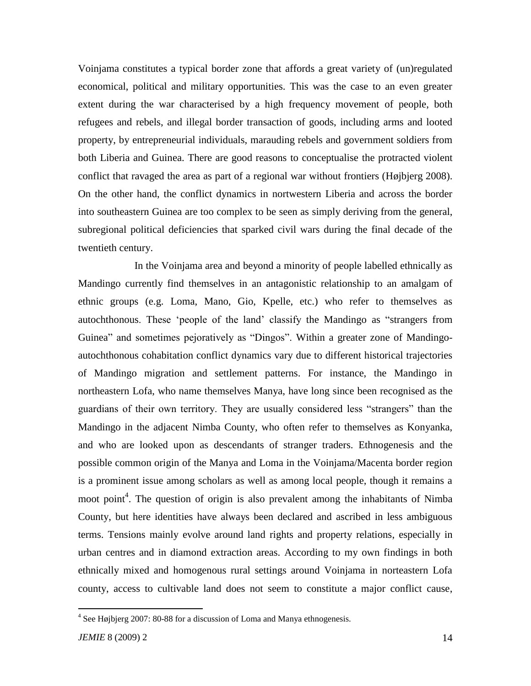Voinjama constitutes a typical border zone that affords a great variety of (un)regulated economical, political and military opportunities. This was the case to an even greater extent during the war characterised by a high frequency movement of people, both refugees and rebels, and illegal border transaction of goods, including arms and looted property, by entrepreneurial individuals, marauding rebels and government soldiers from both Liberia and Guinea. There are good reasons to conceptualise the protracted violent conflict that ravaged the area as part of a regional war without frontiers (Højbjerg 2008). On the other hand, the conflict dynamics in nortwestern Liberia and across the border into southeastern Guinea are too complex to be seen as simply deriving from the general, subregional political deficiencies that sparked civil wars during the final decade of the twentieth century.

In the Voinjama area and beyond a minority of people labelled ethnically as Mandingo currently find themselves in an antagonistic relationship to an amalgam of ethnic groups (e.g. Loma, Mano, Gio, Kpelle, etc.) who refer to themselves as autochthonous. These "people of the land" classify the Mandingo as "strangers from Guinea" and sometimes pejoratively as "Dingos". Within a greater zone of Mandingoautochthonous cohabitation conflict dynamics vary due to different historical trajectories of Mandingo migration and settlement patterns. For instance, the Mandingo in northeastern Lofa, who name themselves Manya, have long since been recognised as the guardians of their own territory. They are usually considered less "strangers" than the Mandingo in the adjacent Nimba County, who often refer to themselves as Konyanka, and who are looked upon as descendants of stranger traders. Ethnogenesis and the possible common origin of the Manya and Loma in the Voinjama/Macenta border region is a prominent issue among scholars as well as among local people, though it remains a moot point<sup>4</sup>. The question of origin is also prevalent among the inhabitants of Nimba County, but here identities have always been declared and ascribed in less ambiguous terms. Tensions mainly evolve around land rights and property relations, especially in urban centres and in diamond extraction areas. According to my own findings in both ethnically mixed and homogenous rural settings around Voinjama in norteastern Lofa county, access to cultivable land does not seem to constitute a major conflict cause,

 $\overline{a}$ 

 $4$  See Højbjerg 2007: 80-88 for a discussion of Loma and Manya ethnogenesis.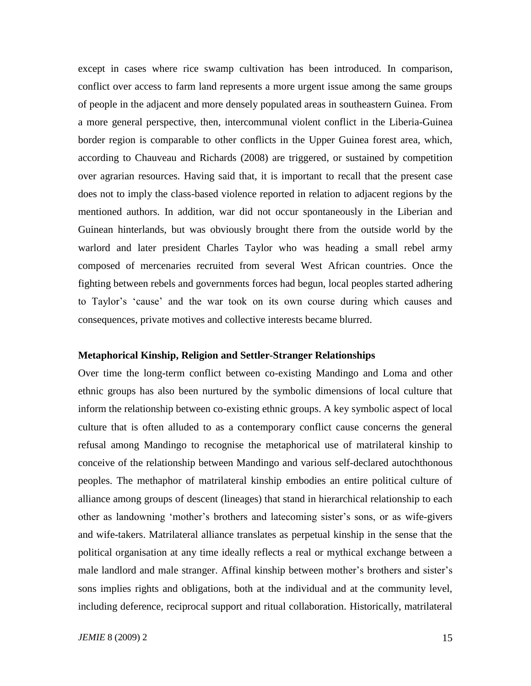except in cases where rice swamp cultivation has been introduced. In comparison, conflict over access to farm land represents a more urgent issue among the same groups of people in the adjacent and more densely populated areas in southeastern Guinea. From a more general perspective, then, intercommunal violent conflict in the Liberia-Guinea border region is comparable to other conflicts in the Upper Guinea forest area, which, according to Chauveau and Richards (2008) are triggered, or sustained by competition over agrarian resources. Having said that, it is important to recall that the present case does not to imply the class-based violence reported in relation to adjacent regions by the mentioned authors. In addition, war did not occur spontaneously in the Liberian and Guinean hinterlands, but was obviously brought there from the outside world by the warlord and later president Charles Taylor who was heading a small rebel army composed of mercenaries recruited from several West African countries. Once the fighting between rebels and governments forces had begun, local peoples started adhering to Taylor's 'cause' and the war took on its own course during which causes and consequences, private motives and collective interests became blurred.

### **Metaphorical Kinship, Religion and Settler-Stranger Relationships**

Over time the long-term conflict between co-existing Mandingo and Loma and other ethnic groups has also been nurtured by the symbolic dimensions of local culture that inform the relationship between co-existing ethnic groups. A key symbolic aspect of local culture that is often alluded to as a contemporary conflict cause concerns the general refusal among Mandingo to recognise the metaphorical use of matrilateral kinship to conceive of the relationship between Mandingo and various self-declared autochthonous peoples. The methaphor of matrilateral kinship embodies an entire political culture of alliance among groups of descent (lineages) that stand in hierarchical relationship to each other as landowning "mother"s brothers and latecoming sister"s sons, or as wife-givers and wife-takers. Matrilateral alliance translates as perpetual kinship in the sense that the political organisation at any time ideally reflects a real or mythical exchange between a male landlord and male stranger. Affinal kinship between mother"s brothers and sister"s sons implies rights and obligations, both at the individual and at the community level, including deference, reciprocal support and ritual collaboration. Historically, matrilateral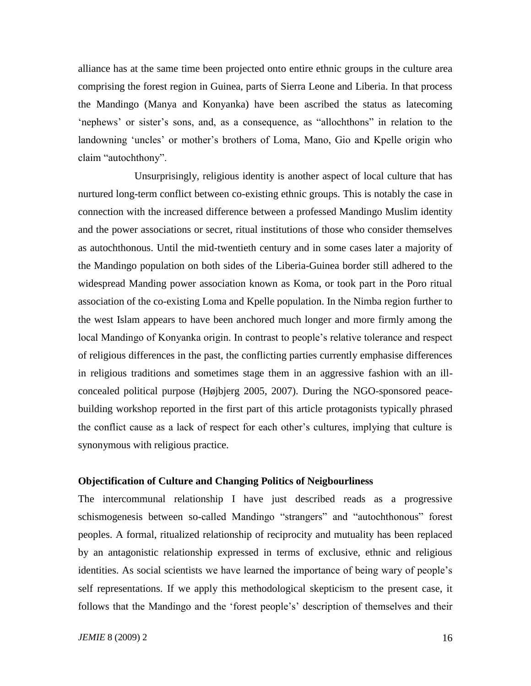alliance has at the same time been projected onto entire ethnic groups in the culture area comprising the forest region in Guinea, parts of Sierra Leone and Liberia. In that process the Mandingo (Manya and Konyanka) have been ascribed the status as latecoming "nephews" or sister's sons, and, as a consequence, as "allochthons" in relation to the landowning 'uncles' or mother's brothers of Loma, Mano, Gio and Kpelle origin who claim "autochthony".

Unsurprisingly, religious identity is another aspect of local culture that has nurtured long-term conflict between co-existing ethnic groups. This is notably the case in connection with the increased difference between a professed Mandingo Muslim identity and the power associations or secret, ritual institutions of those who consider themselves as autochthonous. Until the mid-twentieth century and in some cases later a majority of the Mandingo population on both sides of the Liberia-Guinea border still adhered to the widespread Manding power association known as Koma, or took part in the Poro ritual association of the co-existing Loma and Kpelle population. In the Nimba region further to the west Islam appears to have been anchored much longer and more firmly among the local Mandingo of Konyanka origin. In contrast to people's relative tolerance and respect of religious differences in the past, the conflicting parties currently emphasise differences in religious traditions and sometimes stage them in an aggressive fashion with an illconcealed political purpose (Højbjerg 2005, 2007). During the NGO-sponsored peacebuilding workshop reported in the first part of this article protagonists typically phrased the conflict cause as a lack of respect for each other"s cultures, implying that culture is synonymous with religious practice.

# **Objectification of Culture and Changing Politics of Neigbourliness**

The intercommunal relationship I have just described reads as a progressive schismogenesis between so-called Mandingo "strangers" and "autochthonous" forest peoples. A formal, ritualized relationship of reciprocity and mutuality has been replaced by an antagonistic relationship expressed in terms of exclusive, ethnic and religious identities. As social scientists we have learned the importance of being wary of people"s self representations. If we apply this methodological skepticism to the present case, it follows that the Mandingo and the 'forest people's' description of themselves and their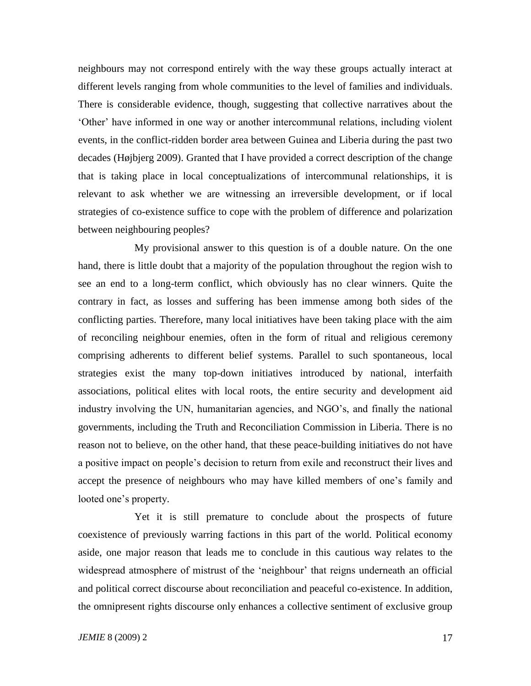neighbours may not correspond entirely with the way these groups actually interact at different levels ranging from whole communities to the level of families and individuals. There is considerable evidence, though, suggesting that collective narratives about the "Other" have informed in one way or another intercommunal relations, including violent events, in the conflict-ridden border area between Guinea and Liberia during the past two decades (Højbjerg 2009). Granted that I have provided a correct description of the change that is taking place in local conceptualizations of intercommunal relationships, it is relevant to ask whether we are witnessing an irreversible development, or if local strategies of co-existence suffice to cope with the problem of difference and polarization between neighbouring peoples?

My provisional answer to this question is of a double nature. On the one hand, there is little doubt that a majority of the population throughout the region wish to see an end to a long-term conflict, which obviously has no clear winners. Quite the contrary in fact, as losses and suffering has been immense among both sides of the conflicting parties. Therefore, many local initiatives have been taking place with the aim of reconciling neighbour enemies, often in the form of ritual and religious ceremony comprising adherents to different belief systems. Parallel to such spontaneous, local strategies exist the many top-down initiatives introduced by national, interfaith associations, political elites with local roots, the entire security and development aid industry involving the UN, humanitarian agencies, and NGO"s, and finally the national governments, including the Truth and Reconciliation Commission in Liberia. There is no reason not to believe, on the other hand, that these peace-building initiatives do not have a positive impact on people"s decision to return from exile and reconstruct their lives and accept the presence of neighbours who may have killed members of one's family and looted one's property.

Yet it is still premature to conclude about the prospects of future coexistence of previously warring factions in this part of the world. Political economy aside, one major reason that leads me to conclude in this cautious way relates to the widespread atmosphere of mistrust of the "neighbour" that reigns underneath an official and political correct discourse about reconciliation and peaceful co-existence. In addition, the omnipresent rights discourse only enhances a collective sentiment of exclusive group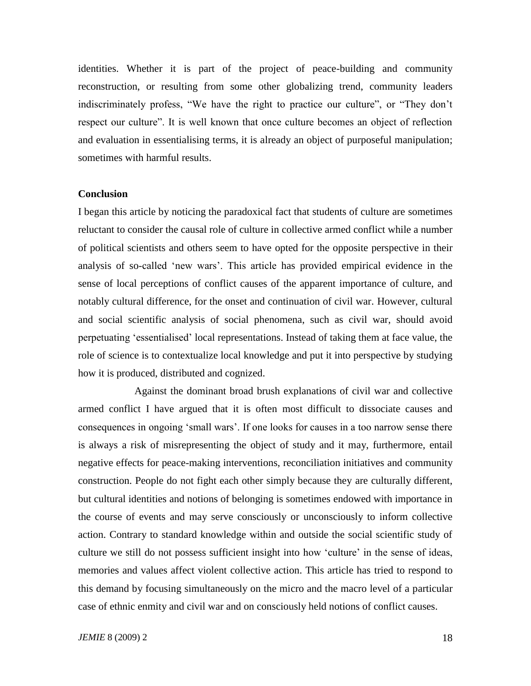identities. Whether it is part of the project of peace-building and community reconstruction, or resulting from some other globalizing trend, community leaders indiscriminately profess, "We have the right to practice our culture", or "They don"t respect our culture". It is well known that once culture becomes an object of reflection and evaluation in essentialising terms, it is already an object of purposeful manipulation; sometimes with harmful results.

#### **Conclusion**

I began this article by noticing the paradoxical fact that students of culture are sometimes reluctant to consider the causal role of culture in collective armed conflict while a number of political scientists and others seem to have opted for the opposite perspective in their analysis of so-called "new wars". This article has provided empirical evidence in the sense of local perceptions of conflict causes of the apparent importance of culture, and notably cultural difference, for the onset and continuation of civil war. However, cultural and social scientific analysis of social phenomena, such as civil war, should avoid perpetuating "essentialised" local representations. Instead of taking them at face value, the role of science is to contextualize local knowledge and put it into perspective by studying how it is produced, distributed and cognized.

Against the dominant broad brush explanations of civil war and collective armed conflict I have argued that it is often most difficult to dissociate causes and consequences in ongoing "small wars". If one looks for causes in a too narrow sense there is always a risk of misrepresenting the object of study and it may, furthermore, entail negative effects for peace-making interventions, reconciliation initiatives and community construction. People do not fight each other simply because they are culturally different, but cultural identities and notions of belonging is sometimes endowed with importance in the course of events and may serve consciously or unconsciously to inform collective action. Contrary to standard knowledge within and outside the social scientific study of culture we still do not possess sufficient insight into how 'culture' in the sense of ideas, memories and values affect violent collective action. This article has tried to respond to this demand by focusing simultaneously on the micro and the macro level of a particular case of ethnic enmity and civil war and on consciously held notions of conflict causes.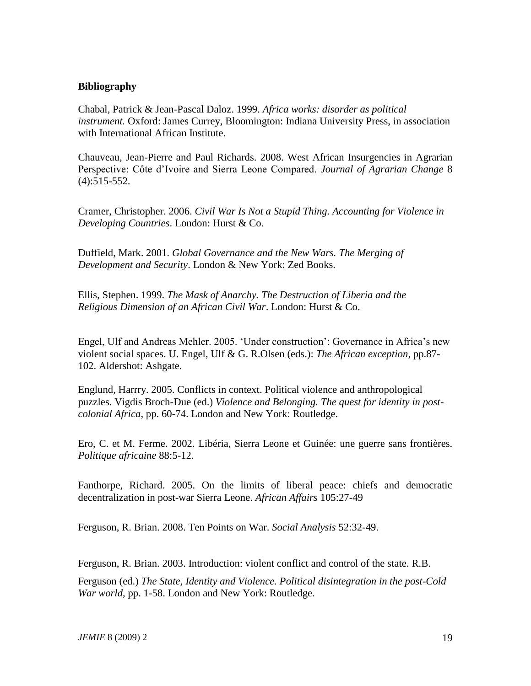## **Bibliography**

Chabal, Patrick & Jean-Pascal Daloz. 1999. *Africa works: disorder as political instrument.* Oxford: James Currey, Bloomington: Indiana University Press, in association with International African Institute.

Chauveau, Jean-Pierre and Paul Richards. 2008. West African Insurgencies in Agrarian Perspective: Côte d"Ivoire and Sierra Leone Compared. *Journal of Agrarian Change* 8 (4):515-552.

Cramer, Christopher. 2006. *Civil War Is Not a Stupid Thing. Accounting for Violence in Developing Countries*. London: Hurst & Co.

Duffield, Mark. 2001. *Global Governance and the New Wars. The Merging of Development and Security*. London & New York: Zed Books.

Ellis, Stephen. 1999. *The Mask of Anarchy. The Destruction of Liberia and the Religious Dimension of an African Civil War*. London: Hurst & Co.

Engel, Ulf and Andreas Mehler. 2005. "Under construction": Governance in Africa"s new violent social spaces. U. Engel, Ulf & G. R.Olsen (eds.): *The African exception*, pp.87- 102. Aldershot: Ashgate.

Englund, Harrry. 2005. Conflicts in context. Political violence and anthropological puzzles. Vigdis Broch-Due (ed.) *Violence and Belonging. The quest for identity in postcolonial Africa*, pp. 60-74. London and New York: Routledge.

Ero, C. et M. Ferme. 2002. Libéria, Sierra Leone et Guinée: une guerre sans frontières. *Politique africaine* 88:5-12.

Fanthorpe, Richard. 2005. On the limits of liberal peace: chiefs and democratic decentralization in post-war Sierra Leone. *African Affairs* 105:27-49

Ferguson, R. Brian. 2008. Ten Points on War. *Social Analysis* 52:32-49.

Ferguson, R. Brian. 2003. Introduction: violent conflict and control of the state. R.B.

Ferguson (ed.) *The State, Identity and Violence. Political disintegration in the post-Cold War world*, pp. 1-58. London and New York: Routledge.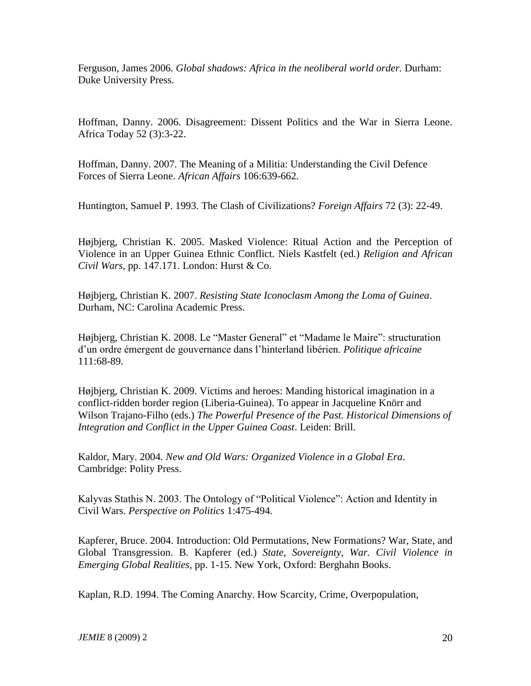Ferguson, James 2006. *Global shadows: Africa in the neoliberal world order.* Durham: Duke University Press.

Hoffman, Danny. 2006. Disagreement: Dissent Politics and the War in Sierra Leone. Africa Today 52 (3):3-22.

Hoffman, Danny. 2007. The Meaning of a Militia: Understanding the Civil Defence Forces of Sierra Leone. *African Affairs* 106:639-662.

Huntington, Samuel P. 1993. The Clash of Civilizations? *Foreign Affairs* 72 (3): 22-49.

Højbjerg, Christian K. 2005. Masked Violence: Ritual Action and the Perception of Violence in an Upper Guinea Ethnic Conflict. Niels Kastfelt (ed.) *Religion and African Civil Wars*, pp. 147.171. London: Hurst & Co.

Højbjerg, Christian K. 2007. *Resisting State Iconoclasm Among the Loma of Guinea*. Durham, NC: Carolina Academic Press.

Højbjerg, Christian K. 2008. Le "Master General" et "Madame le Maire": structuration d"un ordre émergent de gouvernance dans l"hinterland libérien. *Politique africaine* 111:68-89.

Højbjerg, Christian K. 2009. Victims and heroes: Manding historical imagination in a conflict-ridden border region (Liberia-Guinea). To appear in Jacqueline Knörr and Wilson Trajano-Filho (eds.) *The Powerful Presence of the Past. Historical Dimensions of Integration and Conflict in the Upper Guinea Coast*. Leiden: Brill.

Kaldor, Mary. 2004. *New and Old Wars: Organized Violence in a Global Era*. Cambridge: Polity Press.

Kalyvas Stathis N. 2003. The Ontology of "Political Violence": Action and Identity in Civil Wars. *Perspective on Politics* 1:475-494.

Kapferer, Bruce. 2004. Introduction: Old Permutations, New Formations? War, State, and Global Transgression. B. Kapferer (ed.) *State, Sovereignty, War. Civil Violence in Emerging Global Realities*, pp. 1-15. New York, Oxford: Berghahn Books.

Kaplan, R.D. 1994. The Coming Anarchy. How Scarcity, Crime, Overpopulation,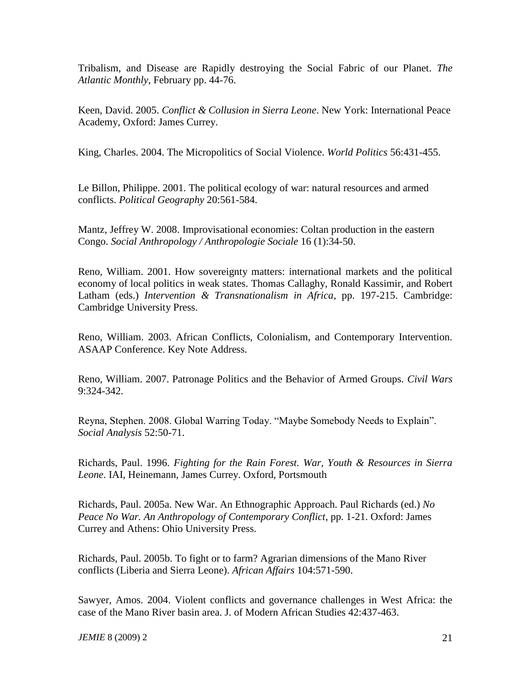Tribalism, and Disease are Rapidly destroying the Social Fabric of our Planet. *The Atlantic Monthly*, February pp. 44-76.

Keen, David. 2005. *Conflict & Collusion in Sierra Leone*. New York: International Peace Academy, Oxford: James Currey.

King, Charles. 2004. The Micropolitics of Social Violence. *World Politics* 56:431-455.

Le Billon, Philippe. 2001. The political ecology of war: natural resources and armed conflicts. *Political Geography* 20:561-584.

Mantz, Jeffrey W. 2008. Improvisational economies: Coltan production in the eastern Congo. *Social Anthropology / Anthropologie Sociale* 16 (1):34-50.

Reno, William. 2001. How sovereignty matters: international markets and the political economy of local politics in weak states. Thomas Callaghy, Ronald Kassimir, and Robert Latham (eds.) *Intervention & Transnationalism in Africa*, pp. 197-215. Cambridge: Cambridge University Press.

Reno, William. 2003. African Conflicts, Colonialism, and Contemporary Intervention. ASAAP Conference. Key Note Address.

Reno, William. 2007. Patronage Politics and the Behavior of Armed Groups. *Civil Wars* 9:324-342.

Reyna, Stephen. 2008. Global Warring Today. "Maybe Somebody Needs to Explain". *Social Analysis* 52:50-71.

Richards, Paul. 1996. *Fighting for the Rain Forest. War, Youth & Resources in Sierra Leone*. IAI, Heinemann, James Currey. Oxford, Portsmouth

Richards, Paul. 2005a. New War. An Ethnographic Approach. Paul Richards (ed.) *No Peace No War. An Anthropology of Contemporary Conflict*, pp. 1-21. Oxford: James Currey and Athens: Ohio University Press.

Richards, Paul. 2005b. To fight or to farm? Agrarian dimensions of the Mano River conflicts (Liberia and Sierra Leone). *African Affairs* 104:571-590.

Sawyer, Amos. 2004. Violent conflicts and governance challenges in West Africa: the case of the Mano River basin area. J. of Modern African Studies 42:437-463.